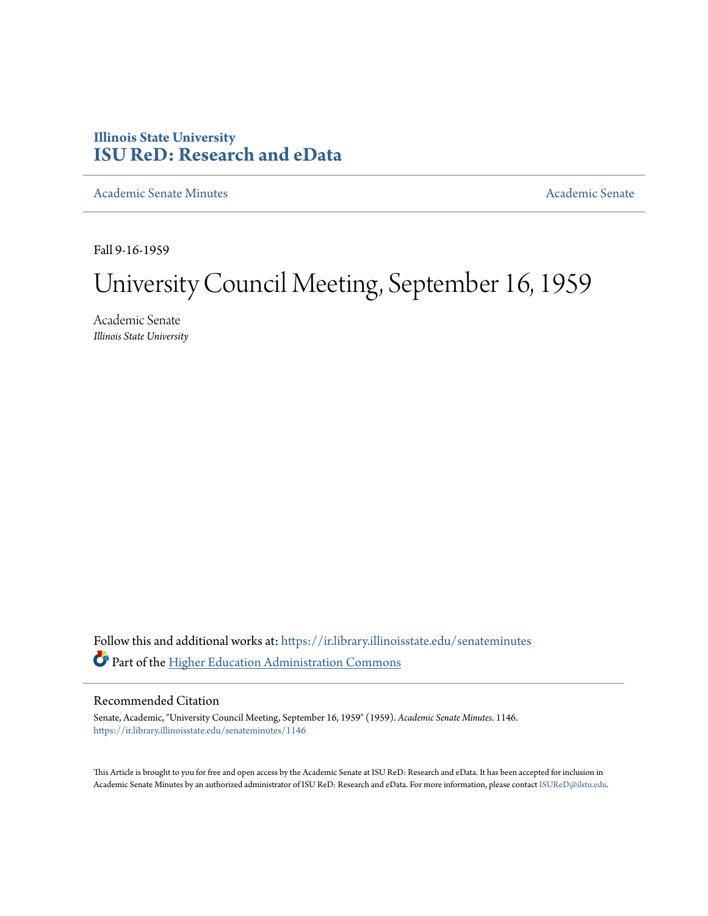# **Illinois State University [ISU ReD: Research and eData](https://ir.library.illinoisstate.edu?utm_source=ir.library.illinoisstate.edu%2Fsenateminutes%2F1146&utm_medium=PDF&utm_campaign=PDFCoverPages)**

[Academic Senate Minutes](https://ir.library.illinoisstate.edu/senateminutes?utm_source=ir.library.illinoisstate.edu%2Fsenateminutes%2F1146&utm_medium=PDF&utm_campaign=PDFCoverPages) [Academic Senate](https://ir.library.illinoisstate.edu/senate?utm_source=ir.library.illinoisstate.edu%2Fsenateminutes%2F1146&utm_medium=PDF&utm_campaign=PDFCoverPages) Academic Senate

Fall 9-16-1959

# University Council Meeting, September 16, 1959

Academic Senate *Illinois State University*

Follow this and additional works at: [https://ir.library.illinoisstate.edu/senateminutes](https://ir.library.illinoisstate.edu/senateminutes?utm_source=ir.library.illinoisstate.edu%2Fsenateminutes%2F1146&utm_medium=PDF&utm_campaign=PDFCoverPages) Part of the [Higher Education Administration Commons](http://network.bepress.com/hgg/discipline/791?utm_source=ir.library.illinoisstate.edu%2Fsenateminutes%2F1146&utm_medium=PDF&utm_campaign=PDFCoverPages)

## Recommended Citation

Senate, Academic, "University Council Meeting, September 16, 1959" (1959). *Academic Senate Minutes*. 1146. [https://ir.library.illinoisstate.edu/senateminutes/1146](https://ir.library.illinoisstate.edu/senateminutes/1146?utm_source=ir.library.illinoisstate.edu%2Fsenateminutes%2F1146&utm_medium=PDF&utm_campaign=PDFCoverPages)

This Article is brought to you for free and open access by the Academic Senate at ISU ReD: Research and eData. It has been accepted for inclusion in Academic Senate Minutes by an authorized administrator of ISU ReD: Research and eData. For more information, please contact [ISUReD@ilstu.edu.](mailto:ISUReD@ilstu.edu)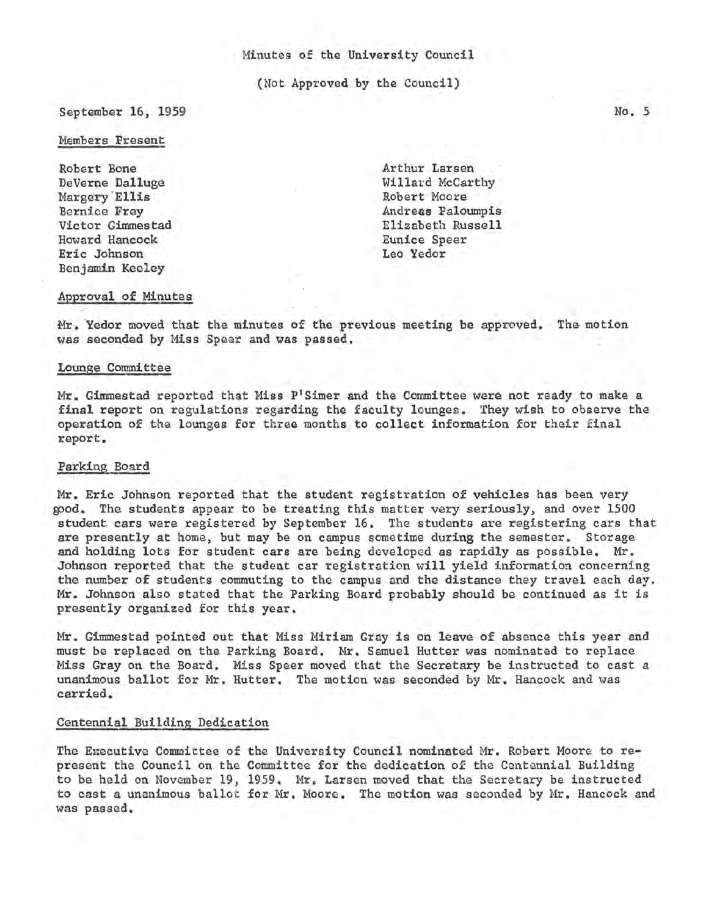### Minutes of the University Council

(Not Approved by the Council)

#### September 16, 1959

#### Members Present

Robert Bone DeVerne Dalluge Margery· Ellis Bernice Frey Victor Gimmestad Howard Hancock Eric Johnson Benjamin Keeley

. Arthur Larsen Willard McCarthy Robert Moore Andreas Paloumpis Elizabeth Russell Eunice Speer Leo Yedor

#### Approval of Minutes

Mr. Yedor moved that the minutes of the previous meeting be approved. The motion was seconded by Miss Speer and was passed.

#### Lounge Committee

Mr. Gimmestad reported that Miss P1Simer and the Committee were not ready to make a final report on regulations regarding the faculty lounges. They wish to observe the operation of the lounges for three months to collect information for their final report.

#### Parking Board

Mr. Eric Johnson reported that the student registration of vehicles has been very good. The students appear to be treating this matter very seriously, and over 1500 student cars were registered by September 16. The students are registering cars that are presently at home, but may be on campus sometime during the semester. Storage and holding lots for student cars are being developed as rapidly as possible. Mr. Johnson reported that the student car registration will yield information concerning the number of students commuting to the campus and the distance they travel each day. Mr. Johnson also stated that the Parking Board probably should be continued as it is presently organized for this year.

Mr. Gimmestad pointed out that Miss Miriam Gray is on leave of absence this year and must be replaced on the Parking Board. Mr. Samuel Hutter was nominated to replace Miss Gray on the Board. Miss Speer moved that the Secretary be instructed to cast a unanimous ballot for Mr. Hutter. The motion was seconded by Mr. Hancock and was carried.

#### Centennial Building Dedication

The Executive Committee of the University Council nominated Mr. Robert Moore to represent the Council on the Committee for the dedication of the Centennial Building to be held on November 19, 1959. Mr. Larsen moved that the Secretary be instructed to cast a unanimous ballot for Mr. Moore. The motion was seconded by Mr. Hancock and was passed.

. No. 5